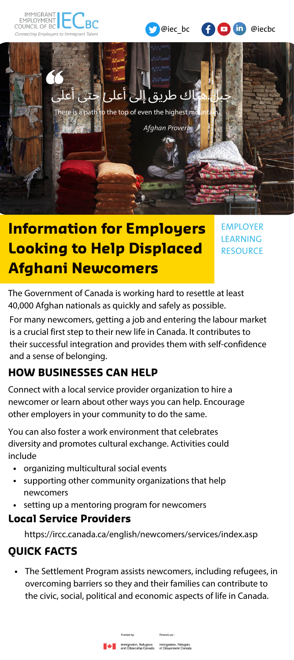







# **Information for Employers Looking to Help Displaced Afghani Newcomers**

EMPLOYER LEARNING **RESOURCE** 

The Government of Canada is working hard to resettle at least 40,000 Afghan nationals as quickly and safely as possible.

For many newcomers, getting a job and entering the labour market is a crucial first step to their new life in Canada. It contributes to their successful integration and provides them with self-confidence and a sense of belonging.

# **HOW BUSINESSES CAN HELP**

Connect with a local service provider organization to hire a newcomer or learn about other ways you can help. Encourage other employers in your community to do the same.

You can also foster a work environment that celebrates diversity and promotes cultural exchange. Activities could include

- organizing multicultural social events
- supporting other community organizations that help newcomers
- setting up a mentoring program for newcomers

#### **Local Service Providers**

https://ircc.canada.ca/english/newcomers/services/index.asp

# **QUICK FACTS**

The Settlement Program assists newcomers, including refugees, in overcoming barriers so they and their families can contribute to the civic, social, political and economic aspects of life in Canada.